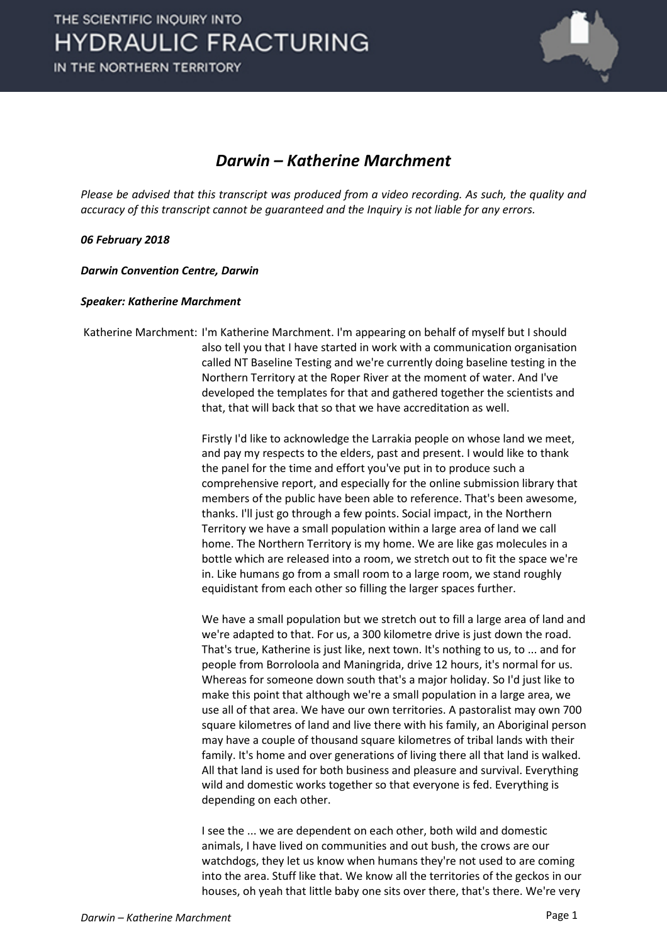

## *Darwin – Katherine Marchment*

*Please be advised that this transcript was produced from a video recording. As such, the quality and accuracy of this transcript cannot be guaranteed and the Inquiry is not liable for any errors.*

### *06 February 2018*

*Darwin Convention Centre, Darwin* 

### *Speaker: Katherine Marchment*

Katherine Marchment: I'm Katherine Marchment. I'm appearing on behalf of myself but I should also tell you that I have started in work with a communication organisation called NT Baseline Testing and we're currently doing baseline testing in the Northern Territory at the Roper River at the moment of water. And I've developed the templates for that and gathered together the scientists and that, that will back that so that we have accreditation as well.

> Firstly I'd like to acknowledge the Larrakia people on whose land we meet, and pay my respects to the elders, past and present. I would like to thank the panel for the time and effort you've put in to produce such a comprehensive report, and especially for the online submission library that members of the public have been able to reference. That's been awesome, thanks. I'll just go through a few points. Social impact, in the Northern Territory we have a small population within a large area of land we call home. The Northern Territory is my home. We are like gas molecules in a bottle which are released into a room, we stretch out to fit the space we're in. Like humans go from a small room to a large room, we stand roughly equidistant from each other so filling the larger spaces further.

We have a small population but we stretch out to fill a large area of land and we're adapted to that. For us, a 300 kilometre drive is just down the road. That's true, Katherine is just like, next town. It's nothing to us, to ... and for people from Borroloola and Maningrida, drive 12 hours, it's normal for us. Whereas for someone down south that's a major holiday. So I'd just like to make this point that although we're a small population in a large area, we use all of that area. We have our own territories. A pastoralist may own 700 square kilometres of land and live there with his family, an Aboriginal person may have a couple of thousand square kilometres of tribal lands with their family. It's home and over generations of living there all that land is walked. All that land is used for both business and pleasure and survival. Everything wild and domestic works together so that everyone is fed. Everything is depending on each other.

I see the ... we are dependent on each other, both wild and domestic animals, I have lived on communities and out bush, the crows are our watchdogs, they let us know when humans they're not used to are coming into the area. Stuff like that. We know all the territories of the geckos in our houses, oh yeah that little baby one sits over there, that's there. We're very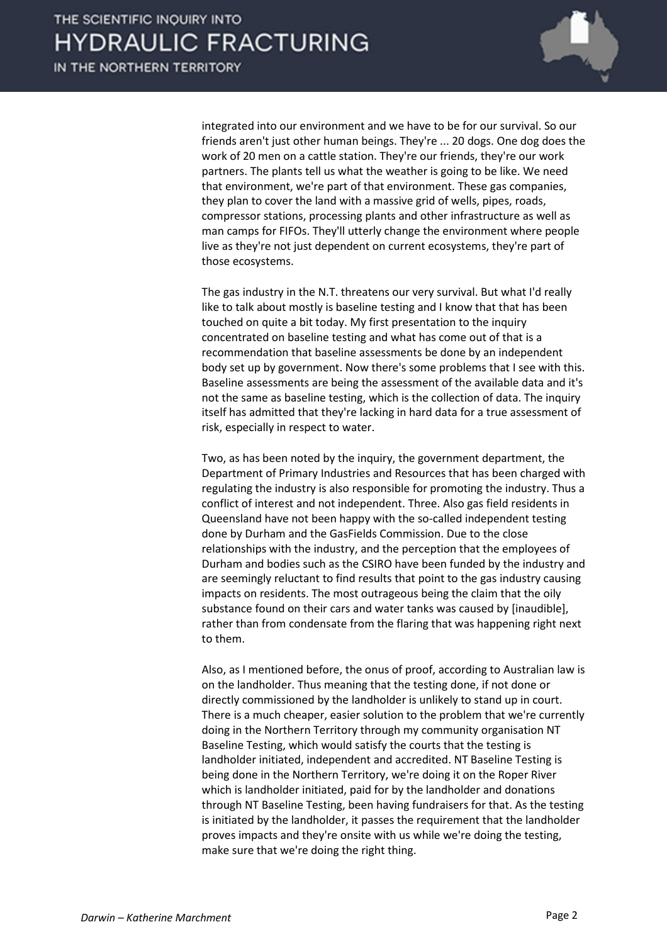

integrated into our environment and we have to be for our survival. So our friends aren't just other human beings. They're ... 20 dogs. One dog does the work of 20 men on a cattle station. They're our friends, they're our work partners. The plants tell us what the weather is going to be like. We need that environment, we're part of that environment. These gas companies, they plan to cover the land with a massive grid of wells, pipes, roads, compressor stations, processing plants and other infrastructure as well as man camps for FIFOs. They'll utterly change the environment where people live as they're not just dependent on current ecosystems, they're part of those ecosystems.

The gas industry in the N.T. threatens our very survival. But what I'd really like to talk about mostly is baseline testing and I know that that has been touched on quite a bit today. My first presentation to the inquiry concentrated on baseline testing and what has come out of that is a recommendation that baseline assessments be done by an independent body set up by government. Now there's some problems that I see with this. Baseline assessments are being the assessment of the available data and it's not the same as baseline testing, which is the collection of data. The inquiry itself has admitted that they're lacking in hard data for a true assessment of risk, especially in respect to water.

Two, as has been noted by the inquiry, the government department, the Department of Primary Industries and Resources that has been charged with regulating the industry is also responsible for promoting the industry. Thus a conflict of interest and not independent. Three. Also gas field residents in Queensland have not been happy with the so-called independent testing done by Durham and the GasFields Commission. Due to the close relationships with the industry, and the perception that the employees of Durham and bodies such as the CSIRO have been funded by the industry and are seemingly reluctant to find results that point to the gas industry causing impacts on residents. The most outrageous being the claim that the oily substance found on their cars and water tanks was caused by [inaudible], rather than from condensate from the flaring that was happening right next to them.

Also, as I mentioned before, the onus of proof, according to Australian law is on the landholder. Thus meaning that the testing done, if not done or directly commissioned by the landholder is unlikely to stand up in court. There is a much cheaper, easier solution to the problem that we're currently doing in the Northern Territory through my community organisation NT Baseline Testing, which would satisfy the courts that the testing is landholder initiated, independent and accredited. NT Baseline Testing is being done in the Northern Territory, we're doing it on the Roper River which is landholder initiated, paid for by the landholder and donations through NT Baseline Testing, been having fundraisers for that. As the testing is initiated by the landholder, it passes the requirement that the landholder proves impacts and they're onsite with us while we're doing the testing, make sure that we're doing the right thing.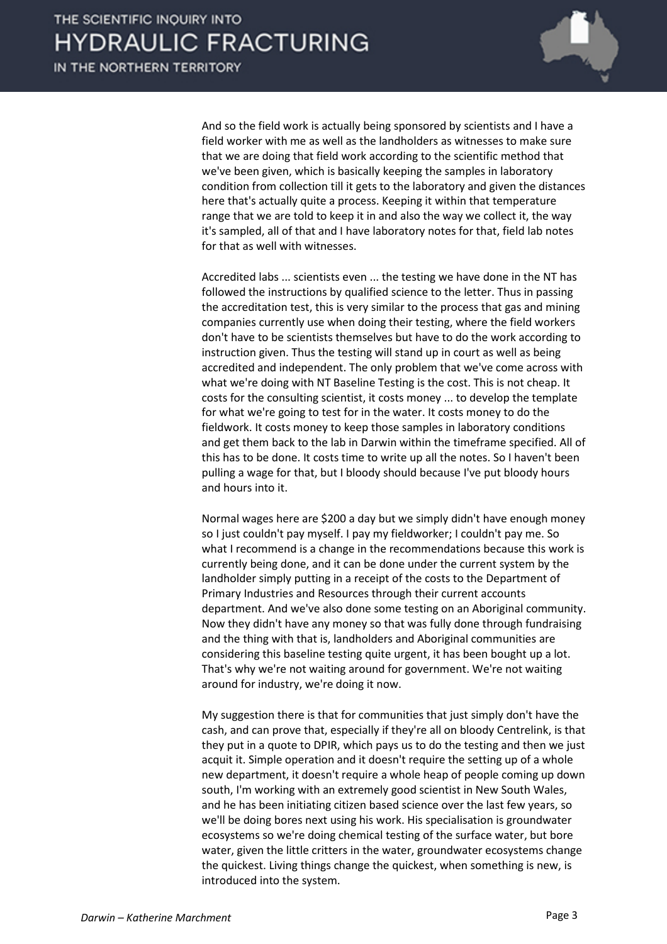

And so the field work is actually being sponsored by scientists and I have a field worker with me as well as the landholders as witnesses to make sure that we are doing that field work according to the scientific method that we've been given, which is basically keeping the samples in laboratory condition from collection till it gets to the laboratory and given the distances here that's actually quite a process. Keeping it within that temperature range that we are told to keep it in and also the way we collect it, the way it's sampled, all of that and I have laboratory notes for that, field lab notes for that as well with witnesses.

Accredited labs ... scientists even ... the testing we have done in the NT has followed the instructions by qualified science to the letter. Thus in passing the accreditation test, this is very similar to the process that gas and mining companies currently use when doing their testing, where the field workers don't have to be scientists themselves but have to do the work according to instruction given. Thus the testing will stand up in court as well as being accredited and independent. The only problem that we've come across with what we're doing with NT Baseline Testing is the cost. This is not cheap. It costs for the consulting scientist, it costs money ... to develop the template for what we're going to test for in the water. It costs money to do the fieldwork. It costs money to keep those samples in laboratory conditions and get them back to the lab in Darwin within the timeframe specified. All of this has to be done. It costs time to write up all the notes. So I haven't been pulling a wage for that, but I bloody should because I've put bloody hours and hours into it.

Normal wages here are \$200 a day but we simply didn't have enough money so I just couldn't pay myself. I pay my fieldworker; I couldn't pay me. So what I recommend is a change in the recommendations because this work is currently being done, and it can be done under the current system by the landholder simply putting in a receipt of the costs to the Department of Primary Industries and Resources through their current accounts department. And we've also done some testing on an Aboriginal community. Now they didn't have any money so that was fully done through fundraising and the thing with that is, landholders and Aboriginal communities are considering this baseline testing quite urgent, it has been bought up a lot. That's why we're not waiting around for government. We're not waiting around for industry, we're doing it now.

My suggestion there is that for communities that just simply don't have the cash, and can prove that, especially if they're all on bloody Centrelink, is that they put in a quote to DPIR, which pays us to do the testing and then we just acquit it. Simple operation and it doesn't require the setting up of a whole new department, it doesn't require a whole heap of people coming up down south, I'm working with an extremely good scientist in New South Wales, and he has been initiating citizen based science over the last few years, so we'll be doing bores next using his work. His specialisation is groundwater ecosystems so we're doing chemical testing of the surface water, but bore water, given the little critters in the water, groundwater ecosystems change the quickest. Living things change the quickest, when something is new, is introduced into the system.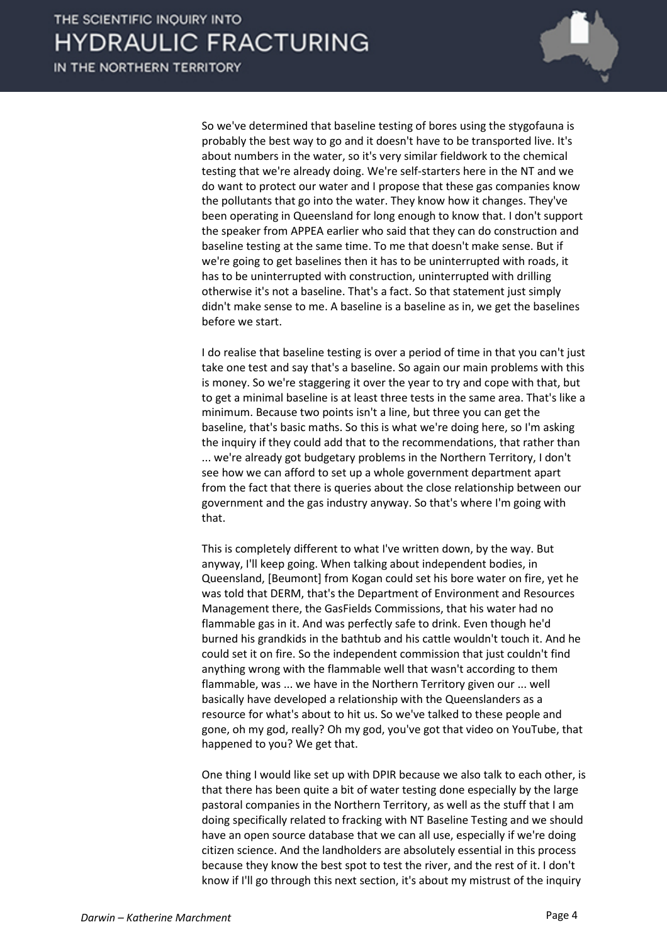IN THE NORTHERN TERRITORY



So we've determined that baseline testing of bores using the stygofauna is probably the best way to go and it doesn't have to be transported live. It's about numbers in the water, so it's very similar fieldwork to the chemical testing that we're already doing. We're self-starters here in the NT and we do want to protect our water and I propose that these gas companies know the pollutants that go into the water. They know how it changes. They've been operating in Queensland for long enough to know that. I don't support the speaker from APPEA earlier who said that they can do construction and baseline testing at the same time. To me that doesn't make sense. But if we're going to get baselines then it has to be uninterrupted with roads, it has to be uninterrupted with construction, uninterrupted with drilling otherwise it's not a baseline. That's a fact. So that statement just simply didn't make sense to me. A baseline is a baseline as in, we get the baselines before we start.

I do realise that baseline testing is over a period of time in that you can't just take one test and say that's a baseline. So again our main problems with this is money. So we're staggering it over the year to try and cope with that, but to get a minimal baseline is at least three tests in the same area. That's like a minimum. Because two points isn't a line, but three you can get the baseline, that's basic maths. So this is what we're doing here, so I'm asking the inquiry if they could add that to the recommendations, that rather than ... we're already got budgetary problems in the Northern Territory, I don't see how we can afford to set up a whole government department apart from the fact that there is queries about the close relationship between our government and the gas industry anyway. So that's where I'm going with that.

This is completely different to what I've written down, by the way. But anyway, I'll keep going. When talking about independent bodies, in Queensland, [Beumont] from Kogan could set his bore water on fire, yet he was told that DERM, that's the Department of Environment and Resources Management there, the GasFields Commissions, that his water had no flammable gas in it. And was perfectly safe to drink. Even though he'd burned his grandkids in the bathtub and his cattle wouldn't touch it. And he could set it on fire. So the independent commission that just couldn't find anything wrong with the flammable well that wasn't according to them flammable, was ... we have in the Northern Territory given our ... well basically have developed a relationship with the Queenslanders as a resource for what's about to hit us. So we've talked to these people and gone, oh my god, really? Oh my god, you've got that video on YouTube, that happened to you? We get that.

One thing I would like set up with DPIR because we also talk to each other, is that there has been quite a bit of water testing done especially by the large pastoral companies in the Northern Territory, as well as the stuff that I am doing specifically related to fracking with NT Baseline Testing and we should have an open source database that we can all use, especially if we're doing citizen science. And the landholders are absolutely essential in this process because they know the best spot to test the river, and the rest of it. I don't know if I'll go through this next section, it's about my mistrust of the inquiry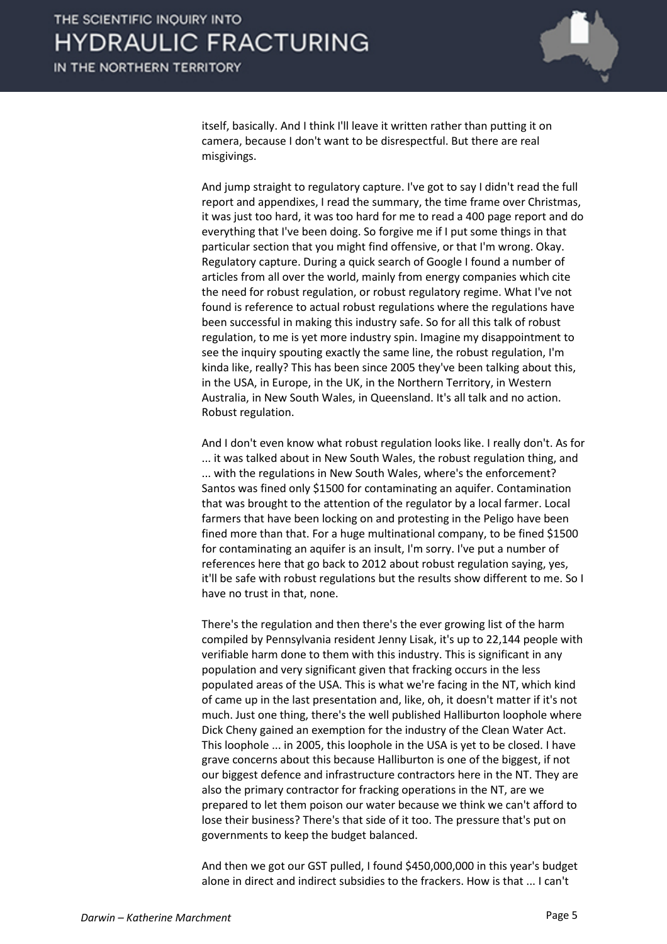

itself, basically. And I think I'll leave it written rather than putting it on camera, because I don't want to be disrespectful. But there are real misgivings.

And jump straight to regulatory capture. I've got to say I didn't read the full report and appendixes, I read the summary, the time frame over Christmas, it was just too hard, it was too hard for me to read a 400 page report and do everything that I've been doing. So forgive me if I put some things in that particular section that you might find offensive, or that I'm wrong. Okay. Regulatory capture. During a quick search of Google I found a number of articles from all over the world, mainly from energy companies which cite the need for robust regulation, or robust regulatory regime. What I've not found is reference to actual robust regulations where the regulations have been successful in making this industry safe. So for all this talk of robust regulation, to me is yet more industry spin. Imagine my disappointment to see the inquiry spouting exactly the same line, the robust regulation, I'm kinda like, really? This has been since 2005 they've been talking about this, in the USA, in Europe, in the UK, in the Northern Territory, in Western Australia, in New South Wales, in Queensland. It's all talk and no action. Robust regulation.

And I don't even know what robust regulation looks like. I really don't. As for ... it was talked about in New South Wales, the robust regulation thing, and ... with the regulations in New South Wales, where's the enforcement? Santos was fined only \$1500 for contaminating an aquifer. Contamination that was brought to the attention of the regulator by a local farmer. Local farmers that have been locking on and protesting in the Peligo have been fined more than that. For a huge multinational company, to be fined \$1500 for contaminating an aquifer is an insult, I'm sorry. I've put a number of references here that go back to 2012 about robust regulation saying, yes, it'll be safe with robust regulations but the results show different to me. So I have no trust in that, none.

There's the regulation and then there's the ever growing list of the harm compiled by Pennsylvania resident Jenny Lisak, it's up to 22,144 people with verifiable harm done to them with this industry. This is significant in any population and very significant given that fracking occurs in the less populated areas of the USA. This is what we're facing in the NT, which kind of came up in the last presentation and, like, oh, it doesn't matter if it's not much. Just one thing, there's the well published Halliburton loophole where Dick Cheny gained an exemption for the industry of the Clean Water Act. This loophole ... in 2005, this loophole in the USA is yet to be closed. I have grave concerns about this because Halliburton is one of the biggest, if not our biggest defence and infrastructure contractors here in the NT. They are also the primary contractor for fracking operations in the NT, are we prepared to let them poison our water because we think we can't afford to lose their business? There's that side of it too. The pressure that's put on governments to keep the budget balanced.

And then we got our GST pulled, I found \$450,000,000 in this year's budget alone in direct and indirect subsidies to the frackers. How is that ... I can't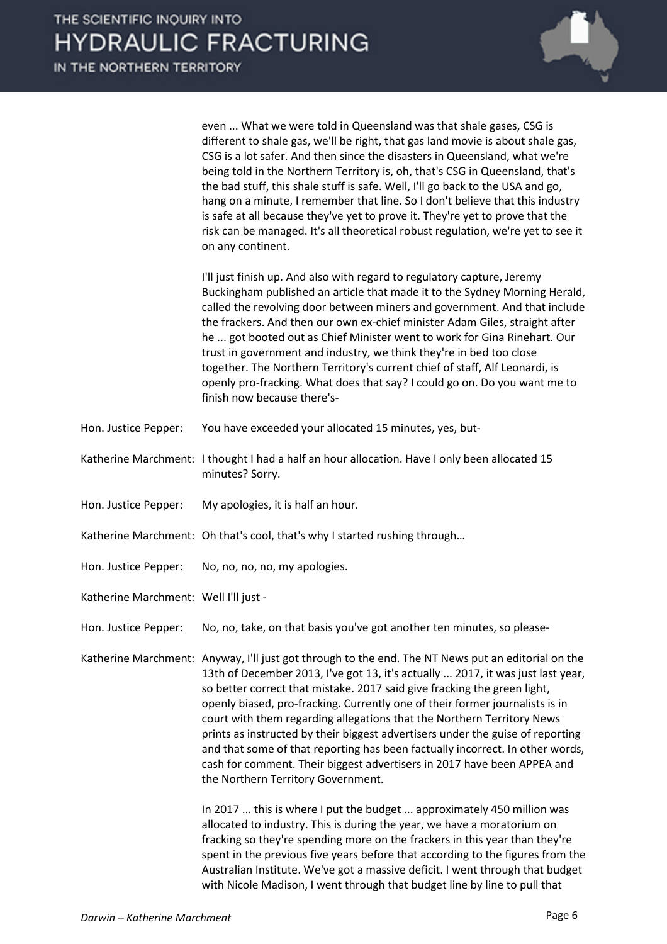even ... What we were told in Queensland was that shale gases, CSG is different to shale gas, we'll be right, that gas land movie is about shale gas, CSG is a lot safer. And then since the disasters in Queensland, what we're being told in the Northern Territory is, oh, that's CSG in Queensland, that's the bad stuff, this shale stuff is safe. Well, I'll go back to the USA and go, hang on a minute, I remember that line. So I don't believe that this industry is safe at all because they've yet to prove it. They're yet to prove that the risk can be managed. It's all theoretical robust regulation, we're yet to see it on any continent.

I'll just finish up. And also with regard to regulatory capture, Jeremy Buckingham published an article that made it to the Sydney Morning Herald, called the revolving door between miners and government. And that include the frackers. And then our own ex-chief minister Adam Giles, straight after he ... got booted out as Chief Minister went to work for Gina Rinehart. Our trust in government and industry, we think they're in bed too close together. The Northern Territory's current chief of staff, Alf Leonardi, is openly pro-fracking. What does that say? I could go on. Do you want me to finish now because there's-

- Hon. Justice Pepper: You have exceeded your allocated 15 minutes, yes, but-
- Katherine Marchment: I thought I had a half an hour allocation. Have I only been allocated 15 minutes? Sorry.
- Hon. Justice Pepper: My apologies, it is half an hour.
- Katherine Marchment: Oh that's cool, that's why I started rushing through…
- Hon. Justice Pepper: No, no, no, no, my apologies.
- Katherine Marchment: Well I'll just -
- Hon. Justice Pepper: No, no, take, on that basis you've got another ten minutes, so please-

Katherine Marchment: Anyway, I'll just got through to the end. The NT News put an editorial on the 13th of December 2013, I've got 13, it's actually ... 2017, it was just last year, so better correct that mistake. 2017 said give fracking the green light, openly biased, pro-fracking. Currently one of their former journalists is in court with them regarding allegations that the Northern Territory News prints as instructed by their biggest advertisers under the guise of reporting and that some of that reporting has been factually incorrect. In other words, cash for comment. Their biggest advertisers in 2017 have been APPEA and the Northern Territory Government.

> In 2017 ... this is where I put the budget ... approximately 450 million was allocated to industry. This is during the year, we have a moratorium on fracking so they're spending more on the frackers in this year than they're spent in the previous five years before that according to the figures from the Australian Institute. We've got a massive deficit. I went through that budget with Nicole Madison, I went through that budget line by line to pull that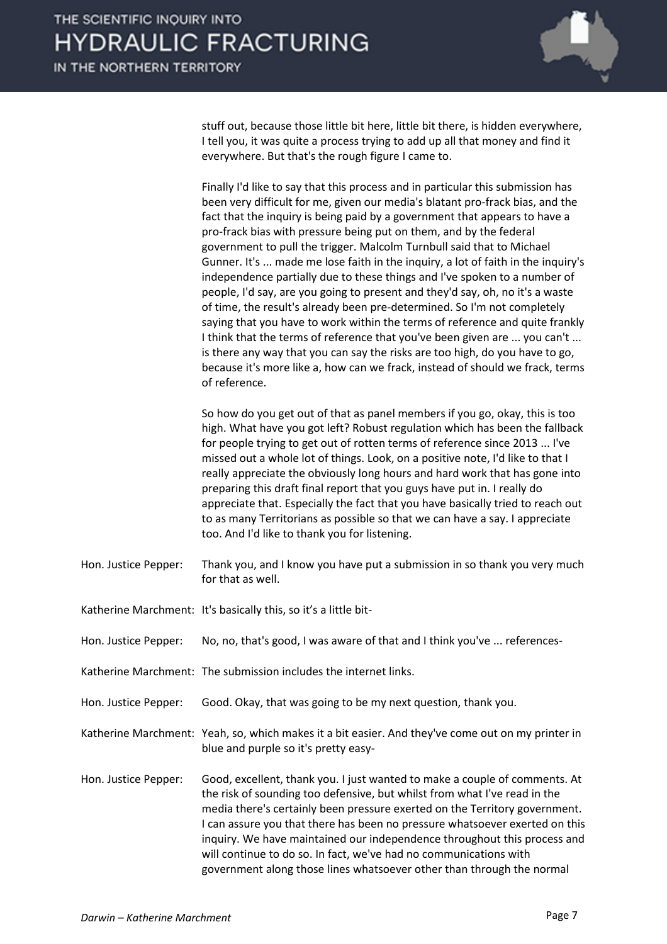

stuff out, because those little bit here, little bit there, is hidden everywhere, I tell you, it was quite a process trying to add up all that money and find it everywhere. But that's the rough figure I came to.

Finally I'd like to say that this process and in particular this submission has been very difficult for me, given our media's blatant pro-frack bias, and the fact that the inquiry is being paid by a government that appears to have a pro-frack bias with pressure being put on them, and by the federal government to pull the trigger. Malcolm Turnbull said that to Michael Gunner. It's ... made me lose faith in the inquiry, a lot of faith in the inquiry's independence partially due to these things and I've spoken to a number of people, I'd say, are you going to present and they'd say, oh, no it's a waste of time, the result's already been pre-determined. So I'm not completely saying that you have to work within the terms of reference and quite frankly I think that the terms of reference that you've been given are ... you can't ... is there any way that you can say the risks are too high, do you have to go, because it's more like a, how can we frack, instead of should we frack, terms of reference.

So how do you get out of that as panel members if you go, okay, this is too high. What have you got left? Robust regulation which has been the fallback for people trying to get out of rotten terms of reference since 2013 ... I've missed out a whole lot of things. Look, on a positive note, I'd like to that I really appreciate the obviously long hours and hard work that has gone into preparing this draft final report that you guys have put in. I really do appreciate that. Especially the fact that you have basically tried to reach out to as many Territorians as possible so that we can have a say. I appreciate too. And I'd like to thank you for listening.

- Hon. Justice Pepper: Thank you, and I know you have put a submission in so thank you very much for that as well.
- Katherine Marchment: It's basically this, so it's a little bit-
- Hon. Justice Pepper: No, no, that's good, I was aware of that and I think you've ... references-
- Katherine Marchment: The submission includes the internet links.
- Hon. Justice Pepper: Good. Okay, that was going to be my next question, thank you.

Katherine Marchment: Yeah, so, which makes it a bit easier. And they've come out on my printer in blue and purple so it's pretty easy-

Hon. Justice Pepper: Good, excellent, thank you. I just wanted to make a couple of comments. At the risk of sounding too defensive, but whilst from what I've read in the media there's certainly been pressure exerted on the Territory government. I can assure you that there has been no pressure whatsoever exerted on this inquiry. We have maintained our independence throughout this process and will continue to do so. In fact, we've had no communications with government along those lines whatsoever other than through the normal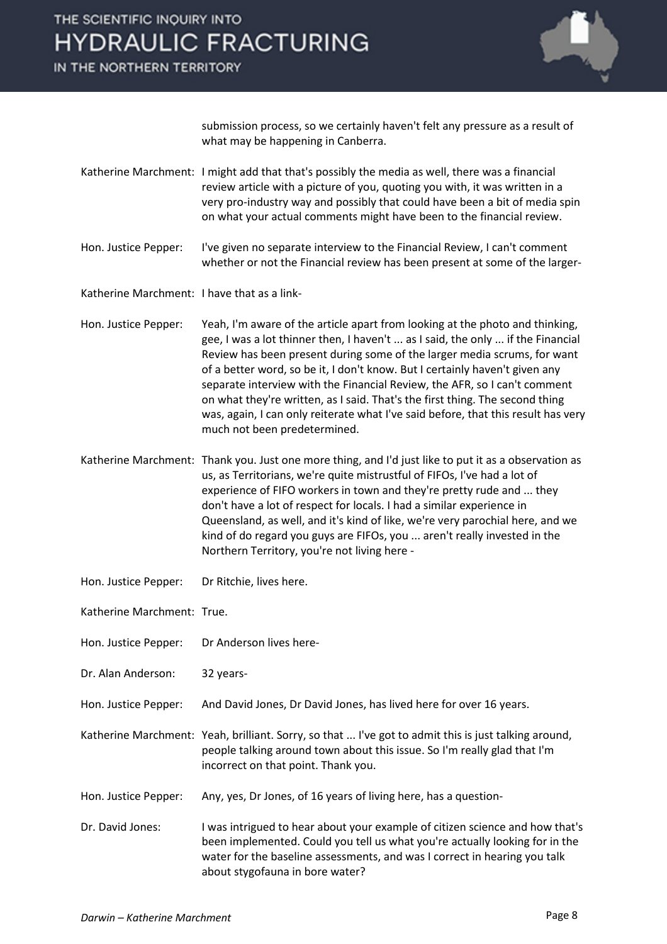### IN THE NORTHERN TERRITORY



submission process, so we certainly haven't felt any pressure as a result of what may be happening in Canberra.

- Katherine Marchment: I might add that that's possibly the media as well, there was a financial review article with a picture of you, quoting you with, it was written in a very pro-industry way and possibly that could have been a bit of media spin on what your actual comments might have been to the financial review.
- Hon. Justice Pepper: I've given no separate interview to the Financial Review, I can't comment whether or not the Financial review has been present at some of the larger-
- Katherine Marchment: I have that as a link-
- Hon. Justice Pepper: Yeah, I'm aware of the article apart from looking at the photo and thinking, gee, I was a lot thinner then, I haven't ... as I said, the only ... if the Financial Review has been present during some of the larger media scrums, for want of a better word, so be it, I don't know. But I certainly haven't given any separate interview with the Financial Review, the AFR, so I can't comment on what they're written, as I said. That's the first thing. The second thing was, again, I can only reiterate what I've said before, that this result has very much not been predetermined.
- Katherine Marchment: Thank you. Just one more thing, and I'd just like to put it as a observation as us, as Territorians, we're quite mistrustful of FIFOs, I've had a lot of experience of FIFO workers in town and they're pretty rude and ... they don't have a lot of respect for locals. I had a similar experience in Queensland, as well, and it's kind of like, we're very parochial here, and we kind of do regard you guys are FIFOs, you ... aren't really invested in the Northern Territory, you're not living here -
- Hon. Justice Pepper: Dr Ritchie, lives here.
- Katherine Marchment: True.
- Hon. Justice Pepper: Dr Anderson lives here-
- Dr. Alan Anderson: 32 years-
- Hon. Justice Pepper: And David Jones, Dr David Jones, has lived here for over 16 years.
- Katherine Marchment: Yeah, brilliant. Sorry, so that ... I've got to admit this is just talking around, people talking around town about this issue. So I'm really glad that I'm incorrect on that point. Thank you.
- Hon. Justice Pepper: Any, yes, Dr Jones, of 16 years of living here, has a question-
- Dr. David Jones: I was intrigued to hear about your example of citizen science and how that's been implemented. Could you tell us what you're actually looking for in the water for the baseline assessments, and was I correct in hearing you talk about stygofauna in bore water?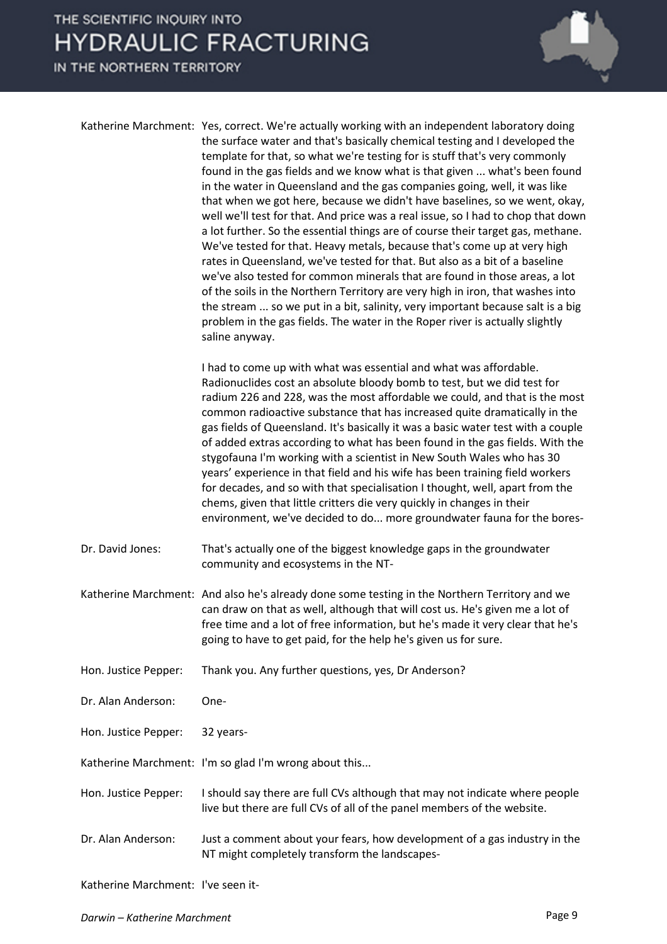IN THE NORTHERN TERRITORY



| Katherine Marchment: Yes, correct. We're actually working with an independent laboratory doing<br>the surface water and that's basically chemical testing and I developed the<br>template for that, so what we're testing for is stuff that's very commonly<br>found in the gas fields and we know what is that given  what's been found<br>in the water in Queensland and the gas companies going, well, it was like<br>that when we got here, because we didn't have baselines, so we went, okay,<br>well we'll test for that. And price was a real issue, so I had to chop that down<br>a lot further. So the essential things are of course their target gas, methane.<br>We've tested for that. Heavy metals, because that's come up at very high<br>rates in Queensland, we've tested for that. But also as a bit of a baseline<br>we've also tested for common minerals that are found in those areas, a lot<br>of the soils in the Northern Territory are very high in iron, that washes into<br>the stream  so we put in a bit, salinity, very important because salt is a big<br>problem in the gas fields. The water in the Roper river is actually slightly<br>saline anyway. |
|-------------------------------------------------------------------------------------------------------------------------------------------------------------------------------------------------------------------------------------------------------------------------------------------------------------------------------------------------------------------------------------------------------------------------------------------------------------------------------------------------------------------------------------------------------------------------------------------------------------------------------------------------------------------------------------------------------------------------------------------------------------------------------------------------------------------------------------------------------------------------------------------------------------------------------------------------------------------------------------------------------------------------------------------------------------------------------------------------------------------------------------------------------------------------------------------|
| I had to come up with what was essential and what was affordable.<br>Radionuclides cost an absolute bloody bomb to test, but we did test for<br>radium 226 and 228, was the most affordable we could, and that is the most<br>common radioactive substance that has increased quite dramatically in the<br>gas fields of Queensland. It's basically it was a basic water test with a couple                                                                                                                                                                                                                                                                                                                                                                                                                                                                                                                                                                                                                                                                                                                                                                                               |

of added extras according to what has been found in the gas fields. With the stygofauna I'm working with a scientist in New South Wales who has 30 years' experience in that field and his wife has been training field workers for decades, and so with that specialisation I thought, well, apart from the chems, given that little critters die very quickly in changes in their environment, we've decided to do... more groundwater fauna for the bores-

- Dr. David Jones: That's actually one of the biggest knowledge gaps in the groundwater community and ecosystems in the NT-
- Katherine Marchment: And also he's already done some testing in the Northern Territory and we can draw on that as well, although that will cost us. He's given me a lot of free time and a lot of free information, but he's made it very clear that he's going to have to get paid, for the help he's given us for sure.
- Hon. Justice Pepper: Thank you. Any further questions, yes, Dr Anderson?
- Dr. Alan Anderson: One-
- Hon. Justice Pepper: 32 years-
- Katherine Marchment: I'm so glad I'm wrong about this...
- Hon. Justice Pepper: I should say there are full CVs although that may not indicate where people live but there are full CVs of all of the panel members of the website.
- Dr. Alan Anderson: Just a comment about your fears, how development of a gas industry in the NT might completely transform the landscapes-

Katherine Marchment: I've seen it-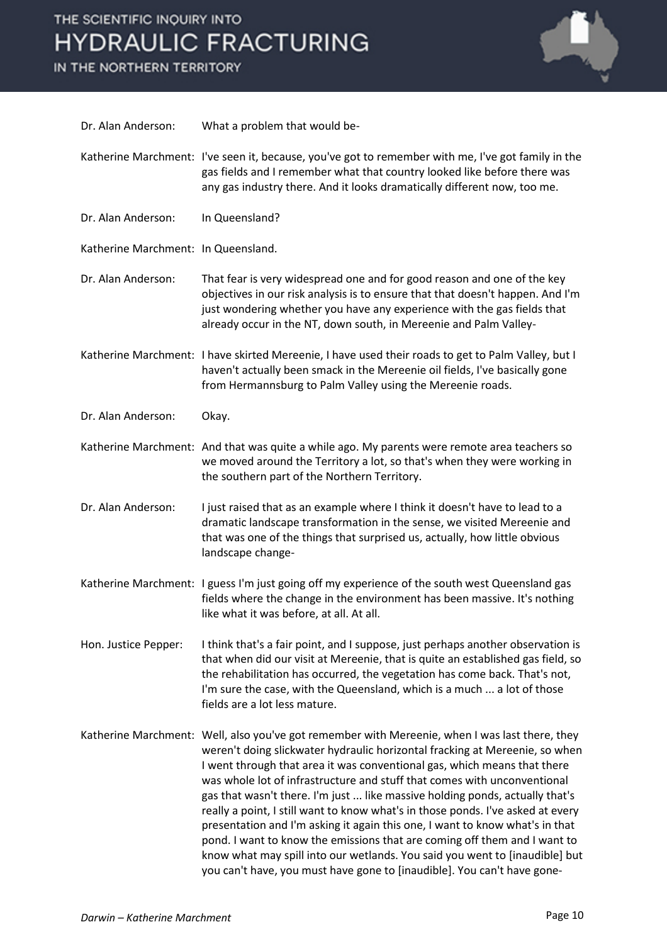IN THE NORTHERN TERRITORY



| Dr. Alan Anderson:                  | What a problem that would be-                                                                                                                                                                                                                                                                                                                                                                                                                                                                                                                                                                                                                                                                                                                                                                                                   |
|-------------------------------------|---------------------------------------------------------------------------------------------------------------------------------------------------------------------------------------------------------------------------------------------------------------------------------------------------------------------------------------------------------------------------------------------------------------------------------------------------------------------------------------------------------------------------------------------------------------------------------------------------------------------------------------------------------------------------------------------------------------------------------------------------------------------------------------------------------------------------------|
|                                     | Katherine Marchment: I've seen it, because, you've got to remember with me, I've got family in the<br>gas fields and I remember what that country looked like before there was<br>any gas industry there. And it looks dramatically different now, too me.                                                                                                                                                                                                                                                                                                                                                                                                                                                                                                                                                                      |
| Dr. Alan Anderson:                  | In Queensland?                                                                                                                                                                                                                                                                                                                                                                                                                                                                                                                                                                                                                                                                                                                                                                                                                  |
| Katherine Marchment: In Queensland. |                                                                                                                                                                                                                                                                                                                                                                                                                                                                                                                                                                                                                                                                                                                                                                                                                                 |
| Dr. Alan Anderson:                  | That fear is very widespread one and for good reason and one of the key<br>objectives in our risk analysis is to ensure that that doesn't happen. And I'm<br>just wondering whether you have any experience with the gas fields that<br>already occur in the NT, down south, in Mereenie and Palm Valley-                                                                                                                                                                                                                                                                                                                                                                                                                                                                                                                       |
|                                     | Katherine Marchment: I have skirted Mereenie, I have used their roads to get to Palm Valley, but I<br>haven't actually been smack in the Mereenie oil fields, I've basically gone<br>from Hermannsburg to Palm Valley using the Mereenie roads.                                                                                                                                                                                                                                                                                                                                                                                                                                                                                                                                                                                 |
| Dr. Alan Anderson:                  | Okay.                                                                                                                                                                                                                                                                                                                                                                                                                                                                                                                                                                                                                                                                                                                                                                                                                           |
|                                     | Katherine Marchment: And that was quite a while ago. My parents were remote area teachers so<br>we moved around the Territory a lot, so that's when they were working in<br>the southern part of the Northern Territory.                                                                                                                                                                                                                                                                                                                                                                                                                                                                                                                                                                                                        |
| Dr. Alan Anderson:                  | I just raised that as an example where I think it doesn't have to lead to a<br>dramatic landscape transformation in the sense, we visited Mereenie and<br>that was one of the things that surprised us, actually, how little obvious<br>landscape change-                                                                                                                                                                                                                                                                                                                                                                                                                                                                                                                                                                       |
|                                     | Katherine Marchment: I guess I'm just going off my experience of the south west Queensland gas<br>fields where the change in the environment has been massive. It's nothing<br>like what it was before, at all. At all.                                                                                                                                                                                                                                                                                                                                                                                                                                                                                                                                                                                                         |
| Hon. Justice Pepper:                | I think that's a fair point, and I suppose, just perhaps another observation is<br>that when did our visit at Mereenie, that is quite an established gas field, so<br>the rehabilitation has occurred, the vegetation has come back. That's not,<br>I'm sure the case, with the Queensland, which is a much  a lot of those<br>fields are a lot less mature.                                                                                                                                                                                                                                                                                                                                                                                                                                                                    |
|                                     | Katherine Marchment: Well, also you've got remember with Mereenie, when I was last there, they<br>weren't doing slickwater hydraulic horizontal fracking at Mereenie, so when<br>I went through that area it was conventional gas, which means that there<br>was whole lot of infrastructure and stuff that comes with unconventional<br>gas that wasn't there. I'm just  like massive holding ponds, actually that's<br>really a point, I still want to know what's in those ponds. I've asked at every<br>presentation and I'm asking it again this one, I want to know what's in that<br>pond. I want to know the emissions that are coming off them and I want to<br>know what may spill into our wetlands. You said you went to [inaudible] but<br>you can't have, you must have gone to [inaudible]. You can't have gone- |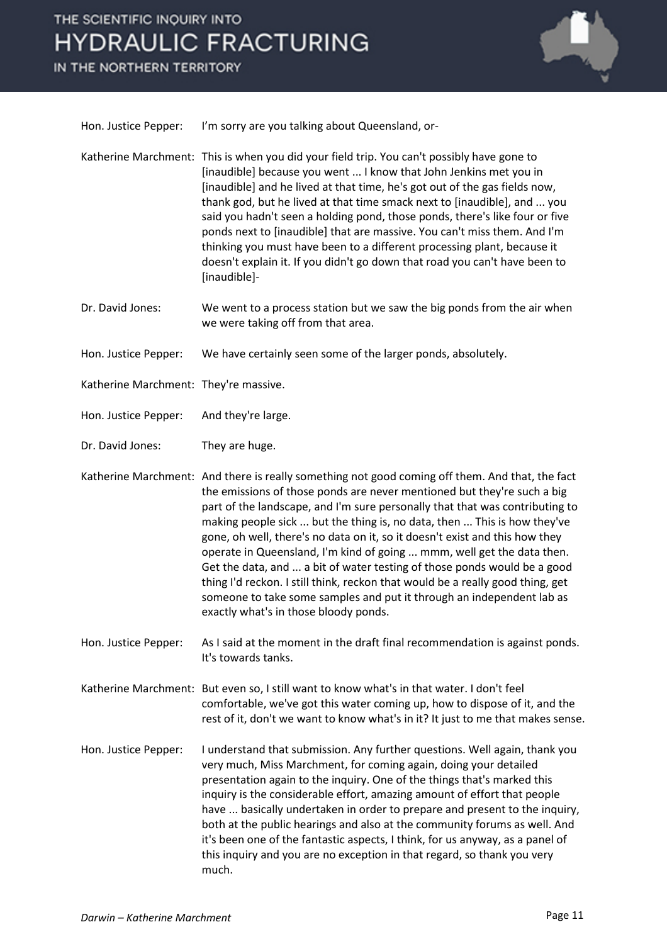IN THE NORTHERN TERRITORY



| Hon. Justice Pepper: | I'm sorry are you talking about Queensland, or- |
|----------------------|-------------------------------------------------|
|----------------------|-------------------------------------------------|

- Katherine Marchment: This is when you did your field trip. You can't possibly have gone to [inaudible] because you went ... I know that John Jenkins met you in [inaudible] and he lived at that time, he's got out of the gas fields now, thank god, but he lived at that time smack next to [inaudible], and ... you said you hadn't seen a holding pond, those ponds, there's like four or five ponds next to [inaudible] that are massive. You can't miss them. And I'm thinking you must have been to a different processing plant, because it doesn't explain it. If you didn't go down that road you can't have been to [inaudible]-
- Dr. David Jones: We went to a process station but we saw the big ponds from the air when we were taking off from that area.
- Hon. Justice Pepper: We have certainly seen some of the larger ponds, absolutely.
- Katherine Marchment: They're massive.
- Hon. Justice Pepper: And they're large.
- Dr. David Jones: They are huge.
- Katherine Marchment: And there is really something not good coming off them. And that, the fact the emissions of those ponds are never mentioned but they're such a big part of the landscape, and I'm sure personally that that was contributing to making people sick ... but the thing is, no data, then ... This is how they've gone, oh well, there's no data on it, so it doesn't exist and this how they operate in Queensland, I'm kind of going ... mmm, well get the data then. Get the data, and ... a bit of water testing of those ponds would be a good thing I'd reckon. I still think, reckon that would be a really good thing, get someone to take some samples and put it through an independent lab as exactly what's in those bloody ponds.
- Hon. Justice Pepper: As I said at the moment in the draft final recommendation is against ponds. It's towards tanks.
- Katherine Marchment: But even so, I still want to know what's in that water. I don't feel comfortable, we've got this water coming up, how to dispose of it, and the rest of it, don't we want to know what's in it? It just to me that makes sense.
- Hon. Justice Pepper: I understand that submission. Any further questions. Well again, thank you very much, Miss Marchment, for coming again, doing your detailed presentation again to the inquiry. One of the things that's marked this inquiry is the considerable effort, amazing amount of effort that people have ... basically undertaken in order to prepare and present to the inquiry, both at the public hearings and also at the community forums as well. And it's been one of the fantastic aspects, I think, for us anyway, as a panel of this inquiry and you are no exception in that regard, so thank you very much.